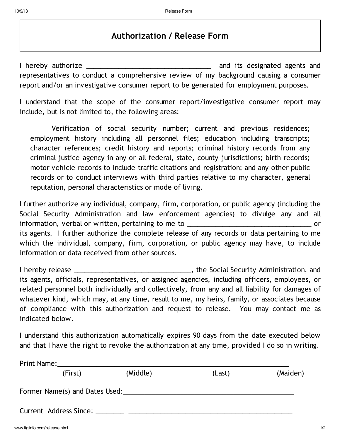## Authorization / Release Form

I hereby authorize \_\_\_\_\_\_\_\_\_\_\_\_\_\_\_\_\_\_\_\_\_\_\_\_\_\_\_\_\_\_\_\_\_\_\_ and its designated agents and representatives to conduct a comprehensive review of my background causing a consumer report and/or an investigative consumer report to be generated for employment purposes.

I understand that the scope of the consumer report/investigative consumer report may include, but is not limited to, the following areas:

Verification of social security number; current and previous residences; employment history including all personnel files; education including transcripts; character references; credit history and reports; criminal history records from any criminal justice agency in any or all federal, state, county jurisdictions; birth records; motor vehicle records to include traffic citations and registration; and any other public records or to conduct interviews with third parties relative to my character, general reputation, personal characteristics or mode of living.

I further authorize any individual, company, firm, corporation, or public agency (including the Social Security Administration and law enforcement agencies) to divulge any and all information, verbal or written, pertaining to me to \_\_\_\_\_\_\_\_\_\_\_\_\_\_\_\_\_\_\_\_\_\_\_\_\_\_\_\_\_\_\_\_\_\_\_ or its agents. I further authorize the complete release of any records or data pertaining to me which the individual, company, firm, corporation, or public agency may have, to include information or data received from other sources.

I hereby release \_\_\_\_\_\_\_\_\_\_\_\_\_\_\_\_\_\_\_\_\_\_\_\_\_\_\_\_\_\_\_\_\_, the Social Security Administration, and its agents, officials, representatives, or assigned agencies, including officers, employees, or related personnel both individually and collectively, from any and all liability for damages of whatever kind, which may, at any time, result to me, my heirs, family, or associates because of compliance with this authorization and request to release. You may contact me as indicated below.

I understand this authorization automatically expires 90 days from the date executed below and that I have the right to revoke the authorization at any time, provided I do so in writing.

| Print Name:            |         |                                |        |          |
|------------------------|---------|--------------------------------|--------|----------|
|                        | (First) | (Middle)                       | (Last) | (Maiden) |
|                        |         | Former Name(s) and Dates Used: |        |          |
| Current Address Since: |         |                                |        |          |